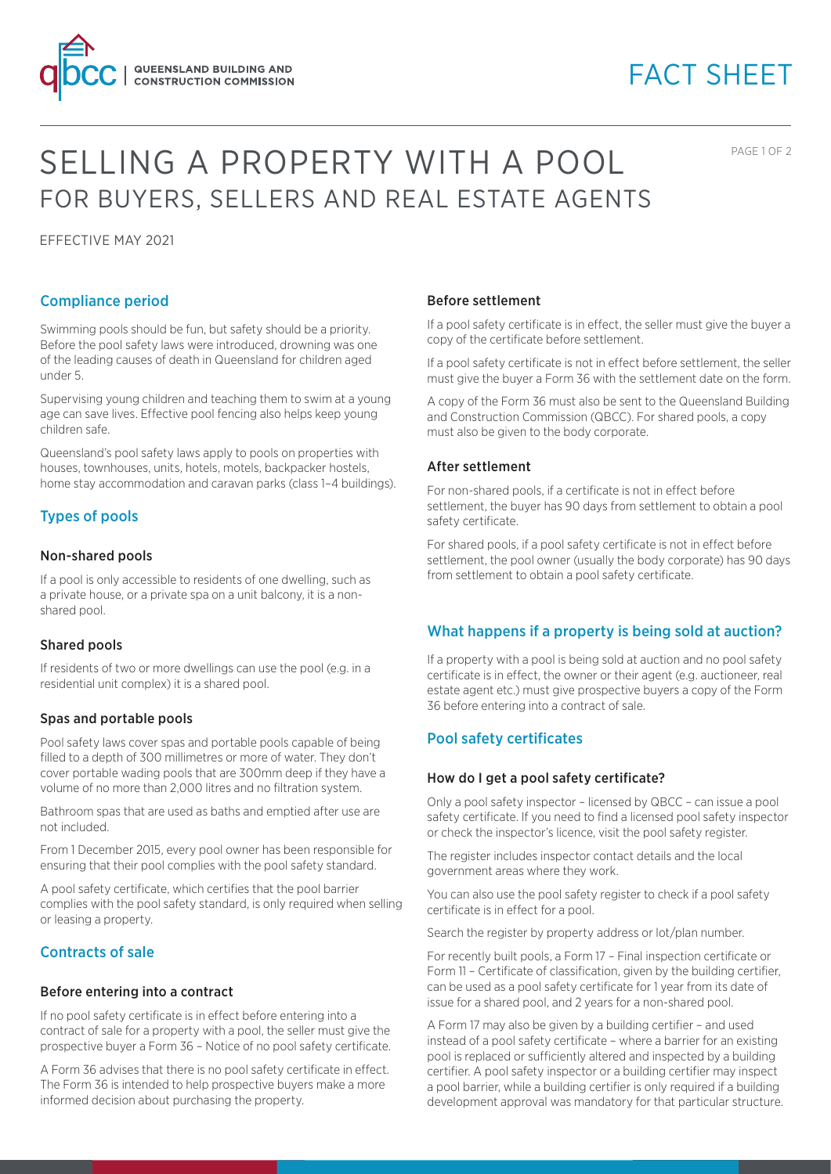

# FACT SHEET

PAGE 1 OF 2

# SELLING A PROPERTY WITH A POOL FOR BUYERS, SELLERS AND REAL ESTATE AGENTS

EFFECTIVE MAY 2021

## Compliance period

Swimming pools should be fun, but safety should be a priority. Before the pool safety laws were introduced, drowning was one of the leading causes of death in Queensland for children aged under 5.

Supervising young children and teaching them to swim at a young age can save lives. Effective pool fencing also helps keep young children safe.

Queensland's pool safety laws apply to pools on properties with houses, townhouses, units, hotels, motels, backpacker hostels, home stay accommodation and caravan parks (class 1–4 buildings).

## Types of pools

### Non-shared pools

If a pool is only accessible to residents of one dwelling, such as a private house, or a private spa on a unit balcony, it is a nonshared pool.

## Shared pools

If residents of two or more dwellings can use the pool (e.g. in a residential unit complex) it is a shared pool.

## Spas and portable pools

Pool safety laws cover spas and portable pools capable of being filled to a depth of 300 millimetres or more of water. They don't cover portable wading pools that are 300mm deep if they have a volume of no more than 2,000 litres and no filtration system.

Bathroom spas that are used as baths and emptied after use are not included.

From 1 December 2015, every pool owner has been responsible for ensuring that their pool complies with the pool safety standard.

A pool safety certificate, which certifies that the pool barrier complies with the pool safety standard, is only required when selling or leasing a property.

## Contracts of sale

### Before entering into a contract

If no pool safety certificate is in effect before entering into a contract of sale for a property with a pool, the seller must give the prospective buyer a Form 36 – Notice of no pool safety certificate.

A Form 36 advises that there is no pool safety certificate in effect. The Form 36 is intended to help prospective buyers make a more informed decision about purchasing the property.

### Before settlement

If a pool safety certificate is in effect, the seller must give the buyer a copy of the certificate before settlement.

If a pool safety certificate is not in effect before settlement, the seller must give the buyer a Form 36 with the settlement date on the form.

A copy of the Form 36 must also be sent to the Queensland Building and Construction Commission (QBCC). For shared pools, a copy must also be given to the body corporate.

### After settlement

For non-shared pools, if a certificate is not in effect before settlement, the buyer has 90 days from settlement to obtain a pool safety certificate.

For shared pools, if a pool safety certificate is not in effect before settlement, the pool owner (usually the body corporate) has 90 days from settlement to obtain a pool safety certificate.

## What happens if a property is being sold at auction?

If a property with a pool is being sold at auction and no pool safety certificate is in effect, the owner or their agent (e.g. auctioneer, real estate agent etc.) must give prospective buyers a copy of the Form 36 before entering into a contract of sale.

## Pool safety certificates

### How do I get a pool safety certificate?

Only a pool safety inspector – licensed by QBCC – can issue a pool safety certificate. If you need to find a licensed pool safety inspector or check the inspector's licence, visit the pool safety register.

The register includes inspector contact details and the local government areas where they work.

You can also use the pool safety register to check if a pool safety certificate is in effect for a pool.

Search the register by property address or lot/plan number.

For recently built pools, a Form 17 – Final inspection certificate or Form 11 – Certificate of classification, given by the building certifier, can be used as a pool safety certificate for 1 year from its date of issue for a shared pool, and 2 years for a non-shared pool.

A Form 17 may also be given by a building certifier – and used instead of a pool safety certificate – where a barrier for an existing pool is replaced or sufficiently altered and inspected by a building certifier. A pool safety inspector or a building certifier may inspect a pool barrier, while a building certifier is only required if a building development approval was mandatory for that particular structure.